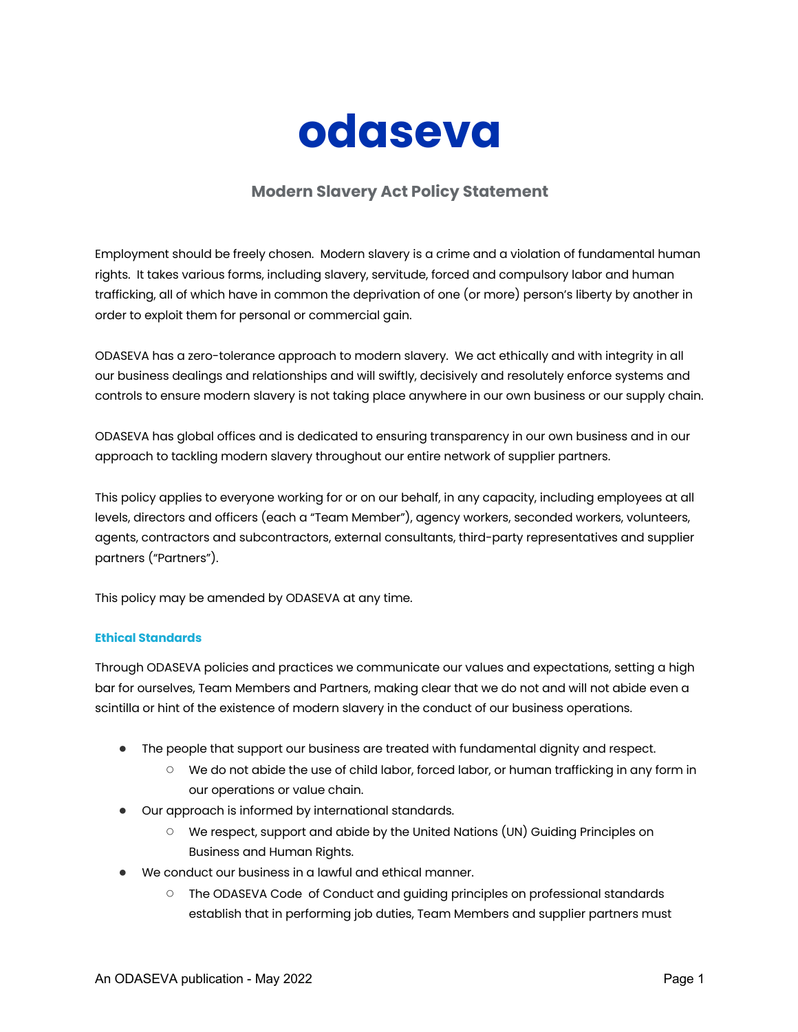

# **Modern Slavery Act Policy Statement**

Employment should be freely chosen. Modern slavery is a crime and a violation of fundamental human rights. It takes various forms, including slavery, servitude, forced and compulsory labor and human trafficking, all of which have in common the deprivation of one (or more) person's liberty by another in order to exploit them for personal or commercial gain.

ODASEVA has a zero-tolerance approach to modern slavery. We act ethically and with integrity in all our business dealings and relationships and will swiftly, decisively and resolutely enforce systems and controls to ensure modern slavery is not taking place anywhere in our own business or our supply chain.

ODASEVA has global offices and is dedicated to ensuring transparency in our own business and in our approach to tackling modern slavery throughout our entire network of supplier partners.

This policy applies to everyone working for or on our behalf, in any capacity, including employees at all levels, directors and officers (each a "Team Member"), agency workers, seconded workers, volunteers, agents, contractors and subcontractors, external consultants, third-party representatives and supplier partners ("Partners").

This policy may be amended by ODASEVA at any time.

## **Ethical Standards**

Through ODASEVA policies and practices we communicate our values and expectations, setting a high bar for ourselves, Team Members and Partners, making clear that we do not and will not abide even a scintilla or hint of the existence of modern slavery in the conduct of our business operations.

- The people that support our business are treated with fundamental dignity and respect.
	- We do not abide the use of child labor, forced labor, or human trafficking in any form in our operations or value chain.
- Our approach is informed by international standards.
	- We respect, support and abide by the United Nations (UN) Guiding Principles on Business and Human Rights.
- We conduct our business in a lawful and ethical manner.
	- The ODASEVA Code of Conduct and guiding principles on professional standards establish that in performing job duties, Team Members and supplier partners must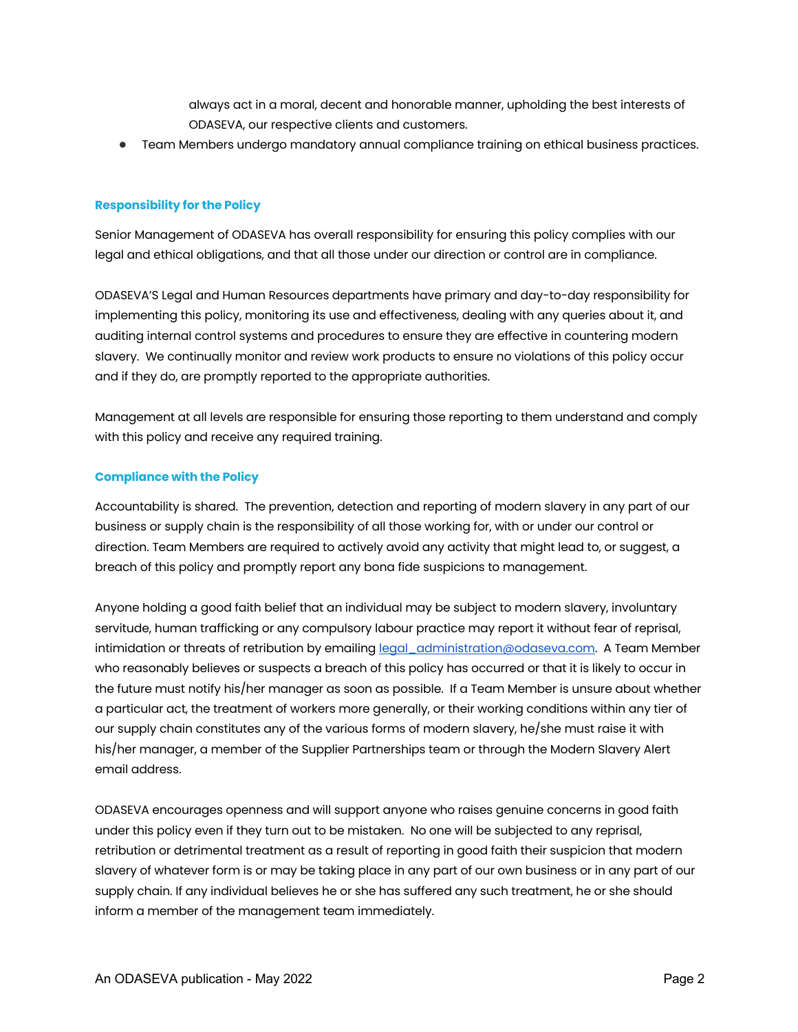always act in a moral, decent and honorable manner, upholding the best interests of ODASEVA, our respective clients and customers.

● Team Members undergo mandatory annual compliance training on ethical business practices.

### **Responsibility for the Policy**

Senior Management of ODASEVA has overall responsibility for ensuring this policy complies with our legal and ethical obligations, and that all those under our direction or control are in compliance.

ODASEVA'S Legal and Human Resources departments have primary and day-to-day responsibility for implementing this policy, monitoring its use and effectiveness, dealing with any queries about it, and auditing internal control systems and procedures to ensure they are effective in countering modern slavery. We continually monitor and review work products to ensure no violations of this policy occur and if they do, are promptly reported to the appropriate authorities.

Management at all levels are responsible for ensuring those reporting to them understand and comply with this policy and receive any required training.

### **Compliance with the Policy**

Accountability is shared. The prevention, detection and reporting of modern slavery in any part of our business or supply chain is the responsibility of all those working for, with or under our control or direction. Team Members are required to actively avoid any activity that might lead to, or suggest, a breach of this policy and promptly report any bona fide suspicions to management.

Anyone holding a good faith belief that an individual may be subject to modern slavery, involuntary servitude, human trafficking or any compulsory labour practice may report it without fear of reprisal, intimidation or threats of retribution by emailing legal administration@odaseva.com. A Team Member who reasonably believes or suspects a breach of this policy has occurred or that it is likely to occur in the future must notify his/her manager as soon as possible. If a Team Member is unsure about whether a particular act, the treatment of workers more generally, or their working conditions within any tier of our supply chain constitutes any of the various forms of modern slavery, he/she must raise it with his/her manager, a member of the Supplier Partnerships team or through the Modern Slavery Alert email address.

ODASEVA encourages openness and will support anyone who raises genuine concerns in good faith under this policy even if they turn out to be mistaken. No one will be subjected to any reprisal, retribution or detrimental treatment as a result of reporting in good faith their suspicion that modern slavery of whatever form is or may be taking place in any part of our own business or in any part of our supply chain. If any individual believes he or she has suffered any such treatment, he or she should inform a member of the management team immediately.